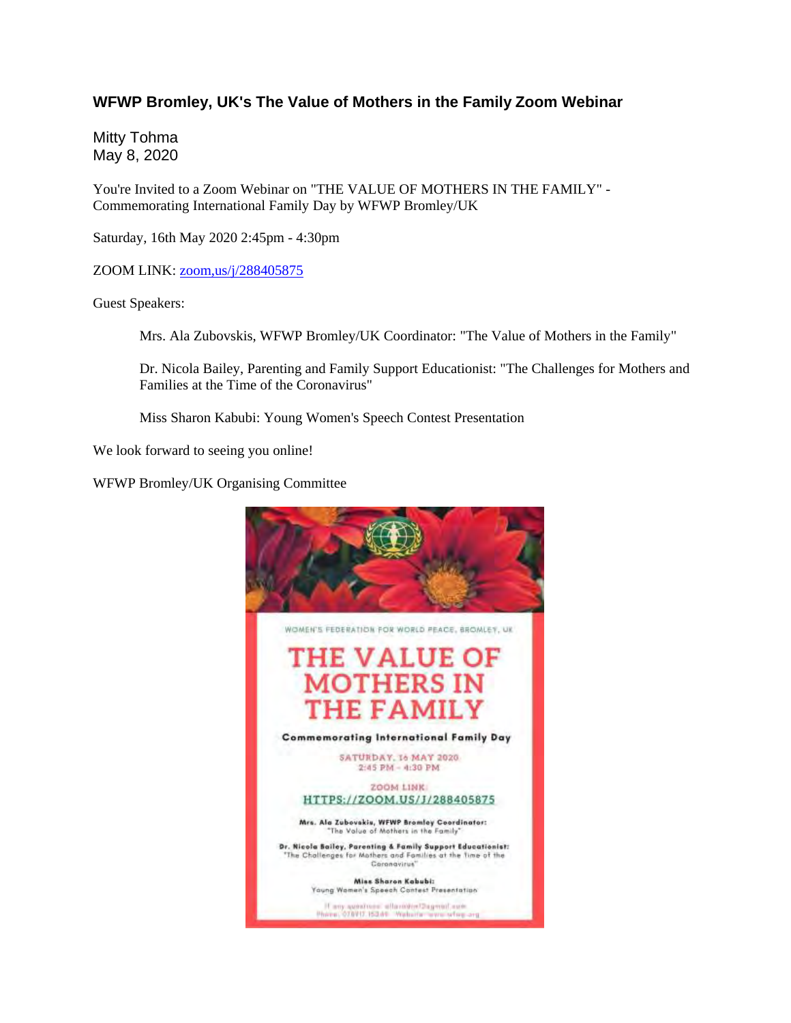## **WFWP Bromley, UK's The Value of Mothers in the Family Zoom Webinar**

Mitty Tohma May 8, 2020

You're Invited to a Zoom Webinar on "THE VALUE OF MOTHERS IN THE FAMILY" - Commemorating International Family Day by WFWP Bromley/UK

Saturday, 16th May 2020 2:45pm - 4:30pm

ZOOM LINK: zoom,us/j/288405875

Guest Speakers:

Mrs. Ala Zubovskis, WFWP Bromley/UK Coordinator: "The Value of Mothers in the Family"

Dr. Nicola Bailey, Parenting and Family Support Educationist: "The Challenges for Mothers and Families at the Time of the Coronavirus"

Miss Sharon Kabubi: Young Women's Speech Contest Presentation

We look forward to seeing you online!

WFWP Bromley/UK Organising Committee